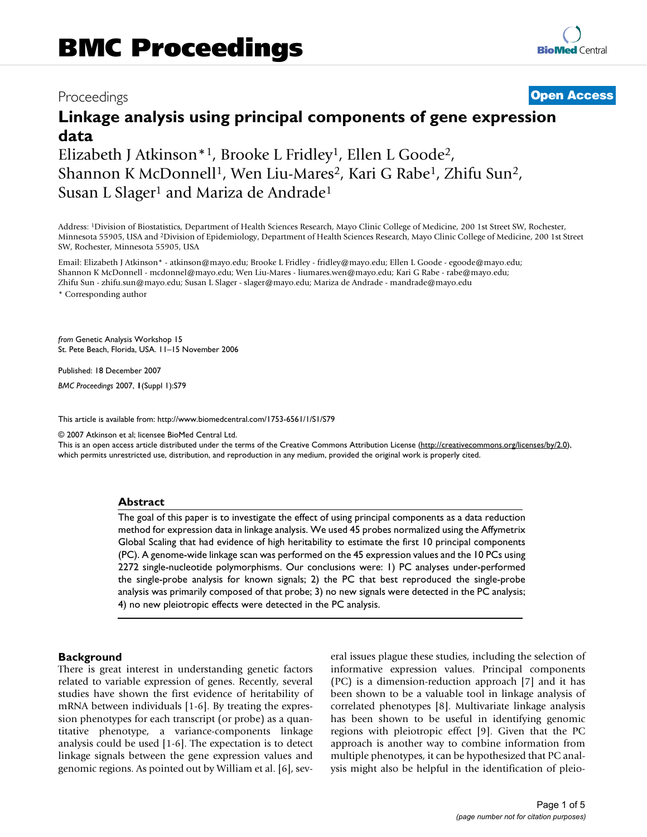# Proceedings **[Open Access](http://www.biomedcentral.com/info/about/charter/)**

# **Linkage analysis using principal components of gene expression data**

Elizabeth J Atkinson\*<sup>1</sup>, Brooke L Fridley<sup>1</sup>, Ellen L Goode<sup>2</sup>, Shannon K McDonnell<sup>1</sup>, Wen Liu-Mares<sup>2</sup>, Kari G Rabe<sup>1</sup>, Zhifu Sun<sup>2</sup>, Susan L Slager<sup>1</sup> and Mariza de Andrade<sup>1</sup>

Address: 1Division of Biostatistics, Department of Health Sciences Research, Mayo Clinic College of Medicine, 200 1st Street SW, Rochester, Minnesota 55905, USA and 2Division of Epidemiology, Department of Health Sciences Research, Mayo Clinic College of Medicine, 200 1st Street SW, Rochester, Minnesota 55905, USA

Email: Elizabeth J Atkinson\* - atkinson@mayo.edu; Brooke L Fridley - fridley@mayo.edu; Ellen L Goode - egoode@mayo.edu; Shannon K McDonnell - mcdonnel@mayo.edu; Wen Liu-Mares - liumares.wen@mayo.edu; Kari G Rabe - rabe@mayo.edu; Zhifu Sun - zhifu.sun@mayo.edu; Susan L Slager - slager@mayo.edu; Mariza de Andrade - mandrade@mayo.edu

\* Corresponding author

*from* Genetic Analysis Workshop 15 St. Pete Beach, Florida, USA. 11–15 November 2006

Published: 18 December 2007

*BMC Proceedings* 2007, **1**(Suppl 1):S79

[This article is available from: http://www.biomedcentral.com/1753-6561/1/S1/S79](http://www.biomedcentral.com/1753-6561/1/S1/S79)

© 2007 Atkinson et al; licensee BioMed Central Ltd.

This is an open access article distributed under the terms of the Creative Commons Attribution License [\(http://creativecommons.org/licenses/by/2.0\)](http://creativecommons.org/licenses/by/2.0), which permits unrestricted use, distribution, and reproduction in any medium, provided the original work is properly cited.

#### **Abstract**

The goal of this paper is to investigate the effect of using principal components as a data reduction method for expression data in linkage analysis. We used 45 probes normalized using the Affymetrix Global Scaling that had evidence of high heritability to estimate the first 10 principal components (PC). A genome-wide linkage scan was performed on the 45 expression values and the 10 PCs using 2272 single-nucleotide polymorphisms. Our conclusions were: 1) PC analyses under-performed the single-probe analysis for known signals; 2) the PC that best reproduced the single-probe analysis was primarily composed of that probe; 3) no new signals were detected in the PC analysis; 4) no new pleiotropic effects were detected in the PC analysis.

#### **Background**

There is great interest in understanding genetic factors related to variable expression of genes. Recently, several studies have shown the first evidence of heritability of mRNA between individuals [1-6]. By treating the expression phenotypes for each transcript (or probe) as a quantitative phenotype, a variance-components linkage analysis could be used [1-6]. The expectation is to detect linkage signals between the gene expression values and genomic regions. As pointed out by William et al. [6], several issues plague these studies, including the selection of informative expression values. Principal components (PC) is a dimension-reduction approach [7] and it has been shown to be a valuable tool in linkage analysis of correlated phenotypes [8]. Multivariate linkage analysis has been shown to be useful in identifying genomic regions with pleiotropic effect [9]. Given that the PC approach is another way to combine information from multiple phenotypes, it can be hypothesized that PC analysis might also be helpful in the identification of pleio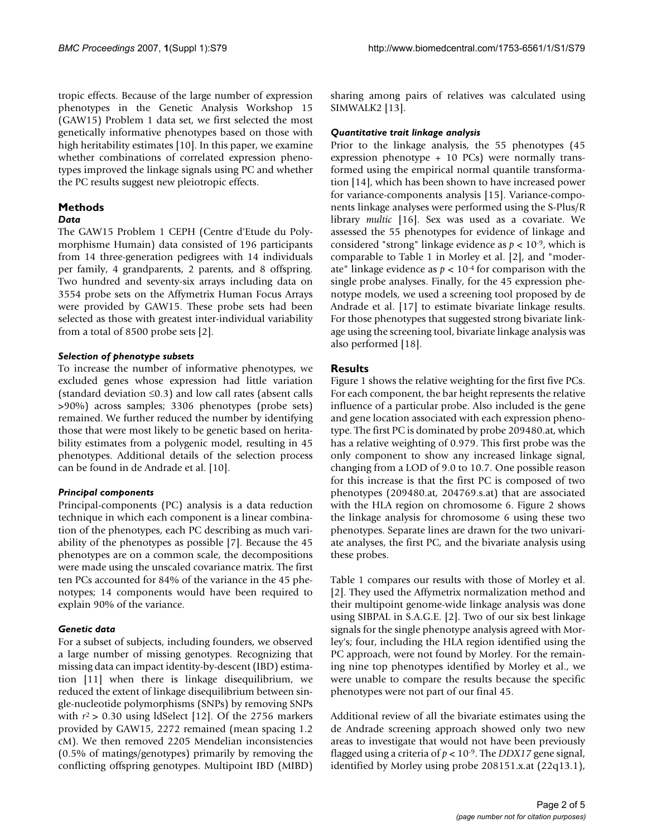tropic effects. Because of the large number of expression phenotypes in the Genetic Analysis Workshop 15 (GAW15) Problem 1 data set, we first selected the most genetically informative phenotypes based on those with high heritability estimates [10]. In this paper, we examine whether combinations of correlated expression phenotypes improved the linkage signals using PC and whether the PC results suggest new pleiotropic effects.

# **Methods**

#### *Data*

The GAW15 Problem 1 CEPH (Centre d'Etude du Polymorphisme Humain) data consisted of 196 participants from 14 three-generation pedigrees with 14 individuals per family, 4 grandparents, 2 parents, and 8 offspring. Two hundred and seventy-six arrays including data on 3554 probe sets on the Affymetrix Human Focus Arrays were provided by GAW15. These probe sets had been selected as those with greatest inter-individual variability from a total of 8500 probe sets [2].

# *Selection of phenotype subsets*

To increase the number of informative phenotypes, we excluded genes whose expression had little variation (standard deviation ≤0.3) and low call rates (absent calls >90%) across samples; 3306 phenotypes (probe sets) remained. We further reduced the number by identifying those that were most likely to be genetic based on heritability estimates from a polygenic model, resulting in 45 phenotypes. Additional details of the selection process can be found in de Andrade et al. [10].

# *Principal components*

Principal-components (PC) analysis is a data reduction technique in which each component is a linear combination of the phenotypes, each PC describing as much variability of the phenotypes as possible [7]. Because the 45 phenotypes are on a common scale, the decompositions were made using the unscaled covariance matrix. The first ten PCs accounted for 84% of the variance in the 45 phenotypes; 14 components would have been required to explain 90% of the variance.

#### *Genetic data*

For a subset of subjects, including founders, we observed a large number of missing genotypes. Recognizing that missing data can impact identity-by-descent (IBD) estimation [11] when there is linkage disequilibrium, we reduced the extent of linkage disequilibrium between single-nucleotide polymorphisms (SNPs) by removing SNPs with  $r^2 > 0.30$  using ldSelect [12]. Of the 2756 markers provided by GAW15, 2272 remained (mean spacing 1.2 cM). We then removed 2205 Mendelian inconsistencies (0.5% of matings/genotypes) primarily by removing the conflicting offspring genotypes. Multipoint IBD (MIBD)

sharing among pairs of relatives was calculated using SIMWALK2 [13].

### *Quantitative trait linkage analysis*

Prior to the linkage analysis, the 55 phenotypes (45 expression phenotype + 10 PCs) were normally transformed using the empirical normal quantile transformation [14], which has been shown to have increased power for variance-components analysis [15]. Variance-components linkage analyses were performed using the S-Plus/R library *multic* [16]. Sex was used as a covariate. We assessed the 55 phenotypes for evidence of linkage and considered "strong" linkage evidence as *p* < 10-9, which is comparable to Table 1 in Morley et al. [2], and "moderate" linkage evidence as  $p < 10^{-4}$  for comparison with the single probe analyses. Finally, for the 45 expression phenotype models, we used a screening tool proposed by de Andrade et al. [17] to estimate bivariate linkage results. For those phenotypes that suggested strong bivariate linkage using the screening tool, bivariate linkage analysis was also performed [18].

# **Results**

Figure 1 shows the relative weighting for the first five PCs. For each component, the bar height represents the relative influence of a particular probe. Also included is the gene and gene location associated with each expression phenotype. The first PC is dominated by probe 209480.at, which has a relative weighting of 0.979. This first probe was the only component to show any increased linkage signal, changing from a LOD of 9.0 to 10.7. One possible reason for this increase is that the first PC is composed of two phenotypes (209480.at, 204769.s.at) that are associated with the HLA region on chromosome 6. Figure 2 shows the linkage analysis for chromosome 6 using these two phenotypes. Separate lines are drawn for the two univariate analyses, the first PC, and the bivariate analysis using these probes.

Table 1 compares our results with those of Morley et al. [2]. They used the Affymetrix normalization method and their multipoint genome-wide linkage analysis was done using SIBPAL in S.A.G.E. [2]. Two of our six best linkage signals for the single phenotype analysis agreed with Morley's; four, including the HLA region identified using the PC approach, were not found by Morley. For the remaining nine top phenotypes identified by Morley et al., we were unable to compare the results because the specific phenotypes were not part of our final 45.

Additional review of all the bivariate estimates using the de Andrade screening approach showed only two new areas to investigate that would not have been previously flagged using a criteria of *p* < 10-9. The *DDX17* gene signal, identified by Morley using probe 208151.x.at (22q13.1),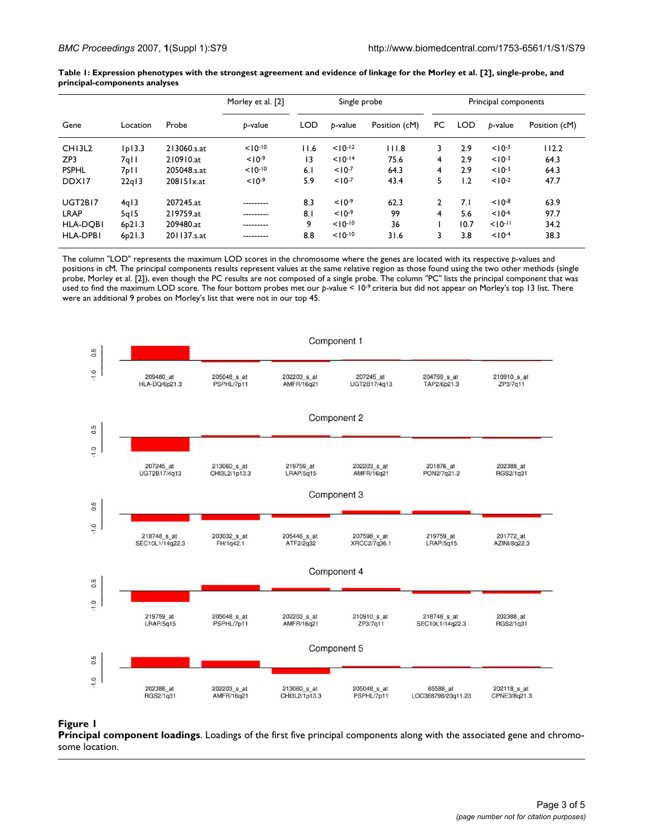| Gene               | Location                     | Probe       | Morley et al. [2]<br>b-value | Single probe |             |               | Principal components |            |             |               |
|--------------------|------------------------------|-------------|------------------------------|--------------|-------------|---------------|----------------------|------------|-------------|---------------|
|                    |                              |             |                              | <b>LOD</b>   | b-value     | Position (cM) | PC                   | <b>LOD</b> | b-value     | Position (cM) |
| CH <sub>13L2</sub> | D 3.3                        | 213060.s.at | $10^{-10}$                   | 11.6         | $10^{-12}$  | 111.8         | 3                    | 2.9        | $< 10^{-3}$ | 112.2         |
| ZP3                | $7q$                         | 210910.at   | $< 10^{-9}$                  | 13           | $10^{-14}$  | 75.6          | 4                    | 2.9        | $< 10^{-3}$ | 64.3          |
| <b>PSPHL</b>       | 7 <sub>p</sub> <sub>II</sub> | 205048.s.at | $10^{-10}$                   | 6.1          | $< 10^{-7}$ | 64.3          | 4                    | 2.9        | $< 10^{-3}$ | 64.3          |
| DDX17              | 22q13                        | 208151x.at  | $< 10^{-9}$                  | 5.9          | $10^{-7}$   | 43.4          | 5.                   | 1.2        | $10^{-2}$   | 47.7          |
| <b>UGT2B17</b>     | 4q13                         | 207245.at   | ---------                    | 8.3          | $10-9$      | 62.3          | 2                    | 7.1        | $10^{-8}$   | 63.9          |
| <b>LRAP</b>        | 5q15                         | 219759.at   | ---------                    | 8.1          | $< 10^{-9}$ | 99            | 4                    | 5.6        | $10^{-6}$   | 97.7          |
| <b>HLA-DOBI</b>    | 6p21.3                       | 209480.at   | ---------                    | 9            | $10^{-10}$  | 36            |                      | 10.7       | $10^{-11}$  | 34.2          |
| <b>HLA-DPBI</b>    | 6p21.3                       | 201137.s.at | .                            | 8.8          | $10^{-10}$  | 31.6          |                      | 3.8        | $10^{-4}$   | 38.3          |

**Table 1: Expression phenotypes with the strongest agreement and evidence of linkage for the Morley et al. [2], single-probe, and principal-components analyses**

The column "LOD" represents the maximum LOD scores in the chromosome where the genes are located with its respective *p*-values and positions in cM. The principal components results represent values at the same relative region as those found using the two other methods (single probe, Morley et al. [2]), even though the PC results are not composed of a single probe. The column "PC" lists the principal component that was used to find the maximum LOD score. The four bottom probes met our *p*-value < 10-9 criteria but did not appear on Morley's top 13 list. There were an additional 9 probes on Morley's list that were not in our top 45.



# **Figure 1**

**Principal component loadings**. Loadings of the first five principal components along with the associated gene and chromosome location.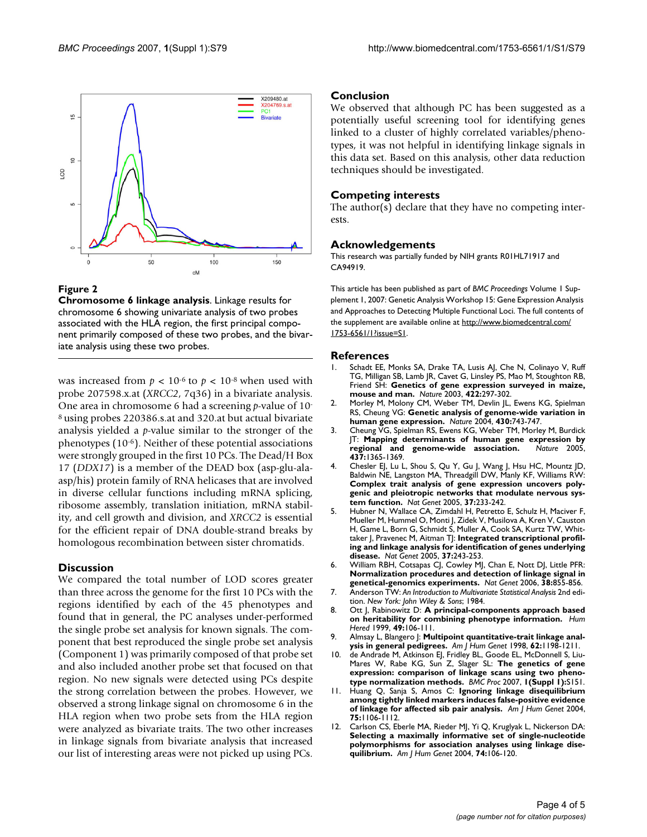

#### **Figure 2**

**Chromosome 6 linkage analysis**. Linkage results for chromosome 6 showing univariate analysis of two probes associated with the HLA region, the first principal component primarily composed of these two probes, and the bivariate analysis using these two probes.

was increased from  $p < 10^{-6}$  to  $p < 10^{-8}$  when used with probe 207598.x.at (*XRCC2*, 7q36) in a bivariate analysis. One area in chromosome 6 had a screening *p*-value of 10- 8 using probes 220386.s.at and 320.at but actual bivariate analysis yielded a *p*-value similar to the stronger of the phenotypes (10-6). Neither of these potential associations were strongly grouped in the first 10 PCs. The Dead/H Box 17 (*DDX17*) is a member of the DEAD box (asp-glu-alaasp/his) protein family of RNA helicases that are involved in diverse cellular functions including mRNA splicing, ribosome assembly, translation initiation, mRNA stability, and cell growth and division, and *XRCC2* is essential for the efficient repair of DNA double-strand breaks by homologous recombination between sister chromatids.

#### **Discussion**

We compared the total number of LOD scores greater than three across the genome for the first 10 PCs with the regions identified by each of the 45 phenotypes and found that in general, the PC analyses under-performed the single probe set analysis for known signals. The component that best reproduced the single probe set analysis (Component 1) was primarily composed of that probe set and also included another probe set that focused on that region. No new signals were detected using PCs despite the strong correlation between the probes. However, we observed a strong linkage signal on chromosome 6 in the HLA region when two probe sets from the HLA region were analyzed as bivariate traits. The two other increases in linkage signals from bivariate analysis that increased our list of interesting areas were not picked up using PCs.

#### **Conclusion**

We observed that although PC has been suggested as a potentially useful screening tool for identifying genes linked to a cluster of highly correlated variables/phenotypes, it was not helpful in identifying linkage signals in this data set. Based on this analysis, other data reduction techniques should be investigated.

#### **Competing interests**

The author(s) declare that they have no competing interests.

#### **Acknowledgements**

This research was partially funded by NIH grants R01HL71917 and CA94919.

This article has been published as part of *BMC Proceedings* Volume 1 Supplement 1, 2007: Genetic Analysis Workshop 15: Gene Expression Analysis and Approaches to Detecting Multiple Functional Loci. The full contents of the supplement are available online at [http://www.biomedcentral.com/](http://www.biomedcentral.com/1753-6561/1?issue=S1) [1753-6561/1?issue=S1.](http://www.biomedcentral.com/1753-6561/1?issue=S1)

#### **References**

- Schadt EE, Monks SA, Drake TA, Lusis AJ, Che N, Colinayo V, Ruff TG, Milligan SB, Lamb JR, Cavet G, Linsley PS, Mao M, Stoughton RB, Friend SH: **[Genetics of gene expression surveyed in maize,](http://www.ncbi.nlm.nih.gov/entrez/query.fcgi?cmd=Retrieve&db=PubMed&dopt=Abstract&list_uids=12646919) [mouse and man.](http://www.ncbi.nlm.nih.gov/entrez/query.fcgi?cmd=Retrieve&db=PubMed&dopt=Abstract&list_uids=12646919)** *Nature* 2003, **422:**297-302.
- 2. Morley M, Molony CM, Weber TM, Devlin JL, Ewens KG, Spielman RS, Cheung VG: **[Genetic analysis of genome-wide variation in](http://www.ncbi.nlm.nih.gov/entrez/query.fcgi?cmd=Retrieve&db=PubMed&dopt=Abstract&list_uids=15269782) [human gene expression.](http://www.ncbi.nlm.nih.gov/entrez/query.fcgi?cmd=Retrieve&db=PubMed&dopt=Abstract&list_uids=15269782)** *Nature* 2004, **430:**743-747.
- 3. Cheung VG, Spielman RS, Ewens KG, Weber TM, Morley M, Burdick JT: **[Mapping determinants of human gene expression by](http://www.ncbi.nlm.nih.gov/entrez/query.fcgi?cmd=Retrieve&db=PubMed&dopt=Abstract&list_uids=16251966)** [regional and genome-wide association.](http://www.ncbi.nlm.nih.gov/entrez/query.fcgi?cmd=Retrieve&db=PubMed&dopt=Abstract&list_uids=16251966) **437:**1365-1369.
- 4. Chesler EJ, Lu L, Shou S, Qu Y, Gu J, Wang J, Hsu HC, Mountz JD, Baldwin NE, Langston MA, Threadgill DW, Manly KF, Williams RW: **[Complex trait analysis of gene expression uncovers poly](http://www.ncbi.nlm.nih.gov/entrez/query.fcgi?cmd=Retrieve&db=PubMed&dopt=Abstract&list_uids=15711545)genic and pleiotropic networks that modulate nervous sys[tem function.](http://www.ncbi.nlm.nih.gov/entrez/query.fcgi?cmd=Retrieve&db=PubMed&dopt=Abstract&list_uids=15711545)** *Nat Genet* 2005, **37:**233-242.
- 5. Hubner N, Wallace CA, Zimdahl H, Petretto E, Schulz H, Maciver F, Mueller M, Hummel O, Monti J, Zidek V, Musilova A, Kren V, Causton H, Game L, Born G, Schmidt S, Muller A, Cook SA, Kurtz TW, Whit-taker J, Pravenec M, Aitman T|: [Integrated transcriptional profil](http://www.ncbi.nlm.nih.gov/entrez/query.fcgi?cmd=Retrieve&db=PubMed&dopt=Abstract&list_uids=15711544)**[ing and linkage analysis for identification of genes underlying](http://www.ncbi.nlm.nih.gov/entrez/query.fcgi?cmd=Retrieve&db=PubMed&dopt=Abstract&list_uids=15711544) [disease.](http://www.ncbi.nlm.nih.gov/entrez/query.fcgi?cmd=Retrieve&db=PubMed&dopt=Abstract&list_uids=15711544)** *Nat Genet* 2005, **37:**243-253.
- 6. William RBH, Cotsapas CJ, Cowley MJ, Chan E, Nott DJ, Little PFR: **[Normalization procedures and detection of linkage signal in](http://www.ncbi.nlm.nih.gov/entrez/query.fcgi?cmd=Retrieve&db=PubMed&dopt=Abstract&list_uids=16874319) [genetical-genomics experiments.](http://www.ncbi.nlm.nih.gov/entrez/query.fcgi?cmd=Retrieve&db=PubMed&dopt=Abstract&list_uids=16874319)** *Nat Genet* 2006, **38:**855-856.
- 7. Anderson TW: *An Introduction to Multivariate Statistical Analysis* 2nd edition. *New York: John Wiley & Sons*; 1984.
- 8. Ott J, Rabinowitz D: **[A principal-components approach based](http://www.ncbi.nlm.nih.gov/entrez/query.fcgi?cmd=Retrieve&db=PubMed&dopt=Abstract&list_uids=10077732) [on heritability for combining phenotype information.](http://www.ncbi.nlm.nih.gov/entrez/query.fcgi?cmd=Retrieve&db=PubMed&dopt=Abstract&list_uids=10077732)** *Hum Hered* 1999, **49:**106-111.
- 9. Almsay L, Blangero J: **[Multipoint quantitative-trait linkage anal](http://www.ncbi.nlm.nih.gov/entrez/query.fcgi?cmd=Retrieve&db=PubMed&dopt=Abstract&list_uids=9545414)[ysis in general pedigrees.](http://www.ncbi.nlm.nih.gov/entrez/query.fcgi?cmd=Retrieve&db=PubMed&dopt=Abstract&list_uids=9545414)** *Am J Hum Genet* 1998, **62:**1198-1211.
- 10. de Andrade M, Atkinson EJ, Fridley BL, Goode EL, McDonnell S, Liu-Mares W, Rabe KG, Sun Z, Slager SL: **The genetics of gene expression: comparison of linkage scans using two phenotype normalization methods.** *BMC Proc* 2007, **1(Suppl 1):**S151.
- 11. Huang Q, Sanja S, Amos C: **[Ignoring linkage disequilibrium](http://www.ncbi.nlm.nih.gov/entrez/query.fcgi?cmd=Retrieve&db=PubMed&dopt=Abstract&list_uids=15492927) [among tightly linked markers induces false-positive evidence](http://www.ncbi.nlm.nih.gov/entrez/query.fcgi?cmd=Retrieve&db=PubMed&dopt=Abstract&list_uids=15492927) [of linkage for affected sib pair analysis.](http://www.ncbi.nlm.nih.gov/entrez/query.fcgi?cmd=Retrieve&db=PubMed&dopt=Abstract&list_uids=15492927)** *Am J Hum Genet* 2004, **75:**1106-1112.
- 12. Carlson CS, Eberle MA, Rieder MJ, Yi Q, Kruglyak L, Nickerson DA: **[Selecting a maximally informative set of single-nucleotide](http://www.ncbi.nlm.nih.gov/entrez/query.fcgi?cmd=Retrieve&db=PubMed&dopt=Abstract&list_uids=14681826) polymorphisms for association analyses using linkage dise[quilibrium.](http://www.ncbi.nlm.nih.gov/entrez/query.fcgi?cmd=Retrieve&db=PubMed&dopt=Abstract&list_uids=14681826)** *Am J Hum Genet* 2004, **74:**106-120.